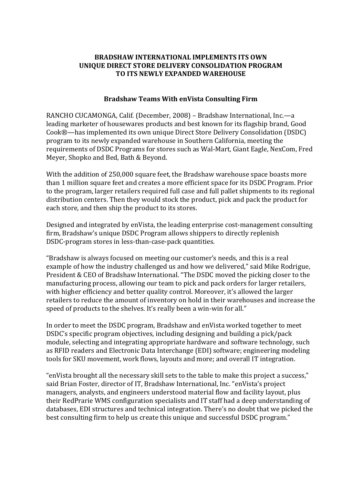## **BRADSHAW INTERNATIONAL IMPLEMENTS ITS OWN UNIQUE DIRECT STORE DELIVERY CONSOLIDATION PROGRAM TO ITS NEWLY EXPANDED WAREHOUSE**

## **Bradshaw Teams With enVista Consulting Firm**

RANCHO CUCAMONGA, Calif. (December, 2008) – Bradshaw International, Inc.—a leading marketer of housewares products and best known for its flagship brand, Good Cook®—has implemented its own unique Direct Store Delivery Consolidation (DSDC) program to its newly expanded warehouse in Southern California, meeting the requirements of DSDC Programs for stores such as Wal-Mart, Giant Eagle, NexCom, Fred Meyer, Shopko and Bed, Bath & Beyond.

With the addition of 250,000 square feet, the Bradshaw warehouse space boasts more than 1 million square feet and creates a more efficient space for its DSDC Program. Prior to the program, larger retailers required full case and full pallet shipments to its regional distribution centers. Then they would stock the product, pick and pack the product for each store, and then ship the product to its stores.

Designed and integrated by enVista, the leading enterprise cost-management consulting firm, Bradshaw's unique DSDC Program allows shippers to directly replenish DSDC-program stores in less-than-case-pack quantities.

"Bradshaw is always focused on meeting our customer's needs, and this is a real example of how the industry challenged us and how we delivered," said Mike Rodrigue, President & CEO of Bradshaw International. "The DSDC moved the picking closer to the manufacturing process, allowing our team to pick and pack orders for larger retailers, with higher efficiency and better quality control. Moreover, it's allowed the larger retailers to reduce the amount of inventory on hold in their warehouses and increase the speed of products to the shelves. It's really been a win-win for all."

In order to meet the DSDC program, Bradshaw and enVista worked together to meet DSDC's specific program objectives, including designing and building a pick/pack module, selecting and integrating appropriate hardware and software technology, such as RFID readers and Electronic Data Interchange (EDI) software; engineering modeling tools for SKU movement, work flows, layouts and more; and overall IT integration.

"enVista brought all the necessary skill sets to the table to make this project a success," said Brian Foster, director of IT, Bradshaw International, Inc. "enVista's project managers, analysts, and engineers understood material flow and facility layout, plus their RedPrarie WMS configuration specialists and IT staff had a deep understanding of databases, EDI structures and technical integration. There's no doubt that we picked the best consulting firm to help us create this unique and successful DSDC program."